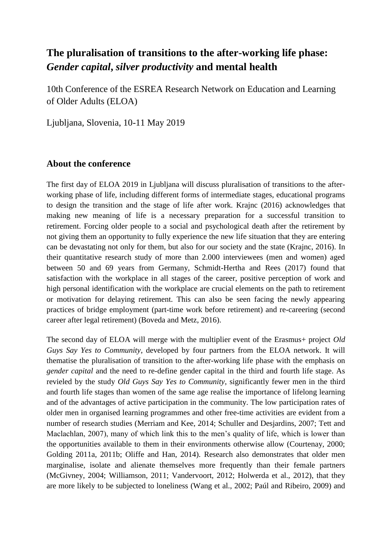# **The pluralisation of transitions to the after-working life phase:**  *Gender capital***,** *silver productivity* **and mental health**

10th Conference of the ESREA Research Network on Education and Learning of Older Adults (ELOA)

Ljubljana, Slovenia, 10-11 May 2019

### **About the conference**

The first day of ELOA 2019 in Ljubljana will discuss pluralisation of transitions to the afterworking phase of life, including different forms of intermediate stages, educational programs to design the transition and the stage of life after work. Krajnc (2016) acknowledges that making new meaning of life is a necessary preparation for a successful transition to retirement. Forcing older people to a social and psychological death after the retirement by not giving them an opportunity to fully experience the new life situation that they are entering can be devastating not only for them, but also for our society and the state (Krajnc, 2016). In their quantitative research study of more than 2.000 interviewees (men and women) aged between 50 and 69 years from Germany, Schmidt-Hertha and Rees (2017) found that satisfaction with the workplace in all stages of the career, positive perception of work and high personal identification with the workplace are crucial elements on the path to retirement or motivation for delaying retirement. This can also be seen facing the newly appearing practices of bridge employment (part-time work before retirement) and re-careering (second career after legal retirement) (Boveda and Metz, 2016).

The second day of ELOA will merge with the multiplier event of the Erasmus+ project *Old Guys Say Yes to Community*, developed by four partners from the ELOA network. It will thematise the pluralisation of transition to the after-working life phase with the emphasis on *gender capital* and the need to re-define gender capital in the third and fourth life stage. As revieled by the study *Old Guys Say Yes to Community*, significantly fewer men in the third and fourth life stages than women of the same age realise the importance of lifelong learning and of the advantages of active participation in the community. The low participation rates of older men in organised learning programmes and other free-time activities are evident from a number of research studies (Merriam and Kee, 2014; Schuller and Desjardins, 2007; Tett and Maclachlan, 2007), many of which link this to the men's quality of life, which is lower than the opportunities available to them in their environments otherwise allow (Courtenay, 2000; Golding 2011a, 2011b; Oliffe and Han, 2014). Research also demonstrates that older men marginalise, isolate and alienate themselves more frequently than their female partners (McGivney, 2004; Williamson, 2011; Vandervoort, 2012; Holwerda et al., 2012), that they are more likely to be subjected to loneliness (Wang et al., 2002; Paúl and Ribeiro, 2009) and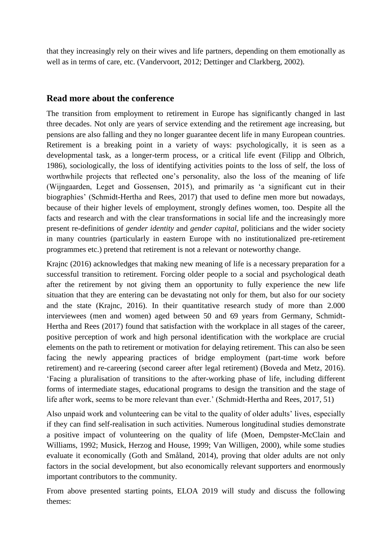that they increasingly rely on their wives and life partners, depending on them emotionally as well as in terms of care, etc. (Vandervoort, 2012; Dettinger and Clarkberg, 2002).

### **Read more about the conference**

The transition from employment to retirement in Europe has significantly changed in last three decades. Not only are years of service extending and the retirement age increasing, but pensions are also falling and they no longer guarantee decent life in many European countries. Retirement is a breaking point in a variety of ways: psychologically, it is seen as a developmental task, as a longer-term process, or a critical life event (Filipp and Olbrich, 1986), sociologically, the loss of identifying activities points to the loss of self, the loss of worthwhile projects that reflected one's personality, also the loss of the meaning of life (Wijngaarden, Leget and Gossensen, 2015), and primarily as 'a significant cut in their biographies' (Schmidt-Hertha and Rees, 2017) that used to define men more but nowadays, because of their higher levels of employment, strongly defines women, too. Despite all the facts and research and with the clear transformations in social life and the increasingly more present re-definitions of *gender identity* and *gender capital*, politicians and the wider society in many countries (particularly in eastern Europe with no institutionalized pre-retirement programmes etc.) pretend that retirement is not a relevant or noteworthy change.

Krajnc (2016) acknowledges that making new meaning of life is a necessary preparation for a successful transition to retirement. Forcing older people to a social and psychological death after the retirement by not giving them an opportunity to fully experience the new life situation that they are entering can be devastating not only for them, but also for our society and the state (Krajnc, 2016). In their quantitative research study of more than 2.000 interviewees (men and women) aged between 50 and 69 years from Germany, Schmidt-Hertha and Rees (2017) found that satisfaction with the workplace in all stages of the career, positive perception of work and high personal identification with the workplace are crucial elements on the path to retirement or motivation for delaying retirement. This can also be seen facing the newly appearing practices of bridge employment (part-time work before retirement) and re-careering (second career after legal retirement) (Boveda and Metz, 2016). 'Facing a pluralisation of transitions to the after-working phase of life, including different forms of intermediate stages, educational programs to design the transition and the stage of life after work, seems to be more relevant than ever.' (Schmidt-Hertha and Rees, 2017, 51)

Also unpaid work and volunteering can be vital to the quality of older adults' lives, especially if they can find self-realisation in such activities. Numerous longitudinal studies demonstrate a positive impact of volunteering on the quality of life (Moen, Dempster-McClain and Williams, 1992; Musick, Herzog and House, 1999; Van Willigen, 2000), while some studies evaluate it economically (Goth and Småland, 2014), proving that older adults are not only factors in the social development, but also economically relevant supporters and enormously important contributors to the community.

From above presented starting points, ELOA 2019 will study and discuss the following themes: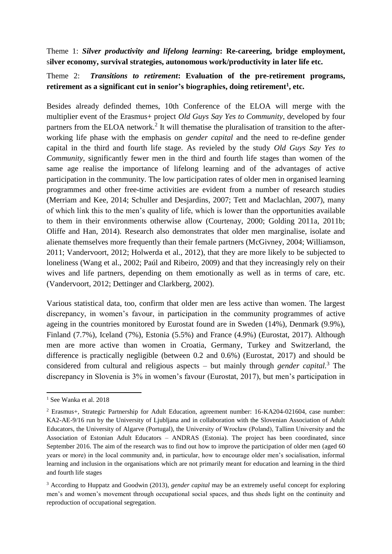Theme 1: *Silver productivity and lifelong learning***: Re-careering, bridge employment,** s**ilver economy, survival strategies, autonomous work/productivity in later life etc.** 

### Theme 2:*Transitions to retirement***: Evaluation of the pre-retirement programs, retirement as a significant cut in senior's biographies, doing retirement<sup>1</sup> , etc.**

Besides already definded themes, 10th Conference of the ELOA will merge with the multiplier event of the Erasmus+ project *Old Guys Say Yes to Community*, developed by four partners from the ELOA network.<sup>2</sup> It will thematise the pluralisation of transition to the afterworking life phase with the emphasis on *gender capital* and the need to re-define gender capital in the third and fourth life stage. As revieled by the study *Old Guys Say Yes to Community*, significantly fewer men in the third and fourth life stages than women of the same age realise the importance of lifelong learning and of the advantages of active participation in the community. The low participation rates of older men in organised learning programmes and other free-time activities are evident from a number of research studies (Merriam and Kee, 2014; Schuller and Desjardins, 2007; Tett and Maclachlan, 2007), many of which link this to the men's quality of life, which is lower than the opportunities available to them in their environments otherwise allow (Courtenay, 2000; Golding 2011a, 2011b; Oliffe and Han, 2014). Research also demonstrates that older men marginalise, isolate and alienate themselves more frequently than their female partners (McGivney, 2004; Williamson, 2011; Vandervoort, 2012; Holwerda et al., 2012), that they are more likely to be subjected to loneliness (Wang et al., 2002; Paúl and Ribeiro, 2009) and that they increasingly rely on their wives and life partners, depending on them emotionally as well as in terms of care, etc. (Vandervoort, 2012; Dettinger and Clarkberg, 2002).

Various statistical data, too, confirm that older men are less active than women. The largest discrepancy, in women's favour, in participation in the community programmes of active ageing in the countries monitored by Eurostat found are in Sweden (14%), Denmark (9.9%), Finland (7.7%), Iceland (7%), Estonia (5.5%) and France (4.9%) (Eurostat, 2017). Although men are more active than women in Croatia, Germany, Turkey and Switzerland, the difference is practically negligible (between 0.2 and 0.6%) (Eurostat, 2017) and should be considered from cultural and religious aspects – but mainly through *gender capital.*<sup>3</sup> The discrepancy in Slovenia is 3% in women's favour (Eurostat, 2017), but men's participation in

**<sup>.</sup>** <sup>1</sup> See Wanka et al. 2018

<sup>2</sup> Erasmus+, Strategic Partnership for Adult Education, agreement number: 16-KA204-021604, case number: KA2-AE-9/16 run by the University of Ljubljana and in collaboration with the Slovenian Association of Adult Educators, the University of Algarve (Portugal), the University of Wrocław (Poland), Tallinn University and the Association of Estonian Adult Educators – ANDRAS (Estonia). The project has been coordinated, since September 2016. The aim of the research was to find out how to improve the participation of older men (aged 60 years or more) in the local community and, in particular, how to encourage older men's socialisation, informal learning and inclusion in the organisations which are not primarily meant for education and learning in the third and fourth life stages

<sup>3</sup> According to Huppatz and Goodwin (2013), *gender capital* may be an extremely useful concept for exploring men's and women's movement through occupational social spaces, and thus sheds light on the continuity and reproduction of occupational segregation.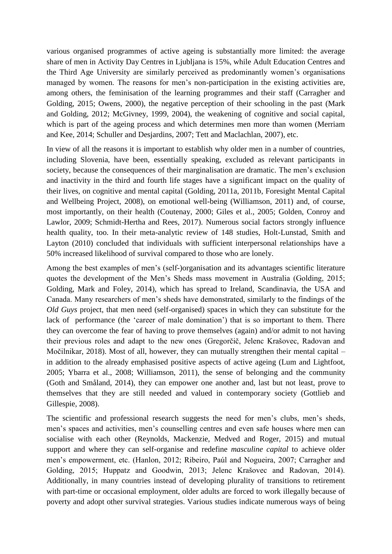various organised programmes of active ageing is substantially more limited: the average share of men in Activity Day Centres in Ljubljana is 15%, while Adult Education Centres and the Third Age University are similarly perceived as predominantly women's organisations managed by women. The reasons for men's non-participation in the existing activities are, among others, the feminisation of the learning programmes and their staff (Carragher and Golding, 2015; Owens, 2000), the negative perception of their schooling in the past (Mark and Golding, 2012; McGivney, 1999, 2004), the weakening of cognitive and social capital, which is part of the ageing process and which determines men more than women (Merriam and Kee, 2014; Schuller and Desjardins, 2007; Tett and Maclachlan, 2007), etc.

In view of all the reasons it is important to establish why older men in a number of countries, including Slovenia, have been, essentially speaking, excluded as relevant participants in society, because the consequences of their marginalisation are dramatic. The men's exclusion and inactivity in the third and fourth life stages have a significant impact on the quality of their lives, on cognitive and mental capital (Golding, 2011a, 2011b, Foresight Mental Capital and Wellbeing Project, 2008), on emotional well-being (Williamson, 2011) and, of course, most importantly, on their health (Coutenay, 2000; Giles et al., 2005; Golden, Conroy and Lawlor, 2009; Schmidt-Hertha and Rees, 2017). Numerous social factors strongly influence health quality, too. In their meta-analytic review of 148 studies, Holt-Lunstad, Smith and Layton (2010) concluded that individuals with sufficient interpersonal relationships have a 50% increased likelihood of survival compared to those who are lonely.

Among the best examples of men's (self-)organisation and its advantages scientific literature quotes the development of the Men's Sheds mass movement in Australia (Golding, 2015; Golding, Mark and Foley, 2014), which has spread to Ireland, Scandinavia, the USA and Canada. Many researchers of men's sheds have demonstrated, similarly to the findings of the *Old Guys* project, that men need (self-organised) spaces in which they can substitute for the lack of performance (the 'career of male domination') that is so important to them. There they can overcome the fear of having to prove themselves (again) and/or admit to not having their previous roles and adapt to the new ones (Gregorčič, Jelenc Krašovec, Radovan and Močilnikar, 2018). Most of all, however, they can mutually strengthen their mental capital – in addition to the already emphasised positive aspects of active ageing (Lum and Lightfoot, 2005; Ybarra et al., 2008; Williamson, 2011), the sense of belonging and the community (Goth and Småland, 2014), they can empower one another and, last but not least, prove to themselves that they are still needed and valued in contemporary society (Gottlieb and Gillespie, 2008).

The scientific and professional research suggests the need for men's clubs, men's sheds, men's spaces and activities, men's counselling centres and even safe houses where men can socialise with each other (Reynolds, Mackenzie, Medved and Roger, 2015) and mutual support and where they can self-organise and redefine *masculine capital* to achieve older men's empowerment, etc. (Hanlon, 2012; Ribeiro, Paúl and Nogueira, 2007; Carragher and Golding, 2015; Huppatz and Goodwin, 2013; Jelenc Krašovec and Radovan, 2014). Additionally, in many countries instead of developing plurality of transitions to retirement with part-time or occasional employment, older adults are forced to work illegally because of poverty and adopt other survival strategies. Various studies indicate numerous ways of being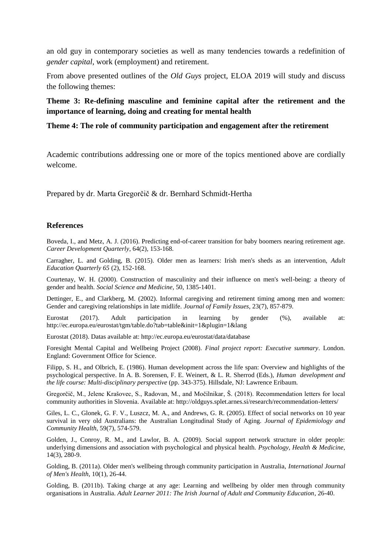an old guy in contemporary societies as well as many tendencies towards a redefinition of *gender capital*, work (employment) and retirement.

From above presented outlines of the *Old Guys* project, ELOA 2019 will study and discuss the following themes:

**Theme 3: Re-defining masculine and feminine capital after the retirement and the importance of learning, doing and creating for mental health**

#### **Theme 4: The role of community participation and engagement after the retirement**

Academic contributions addressing one or more of the topics mentioned above are cordially welcome.

Prepared by dr. Marta Gregorčič & dr. Bernhard Schmidt-Hertha

#### **References**

Boveda, I., and Metz, A. J. (2016). Predicting end-of-career transition for baby boomers nearing retirement age. *Career Development Quarterly*, 64(2), 153-168.

Carragher, L. and Golding, B. (2015). Older men as learners: Irish men's sheds as an intervention, *Adult Education Quarterly 65* (2), 152-168.

Courtenay, W. H. (2000). Construction of masculinity and their influence on men's well-being: a theory of gender and health. *Social Science and Medicine*, 50, 1385-1401.

Dettinger, E., and Clarkberg, M. (2002). Informal caregiving and retirement timing among men and women: Gender and caregiving relationships in late midlife. *Journal of Family Issues,* 23(7), 857-879.

Eurostat (2017). Adult participation in learning by gender (%), available at: http://ec.europa.eu/eurostat/tgm/table.do?tab=table&init=1&plugin=1&lang

Eurostat (2018). Datas available at: http://ec.europa.eu/eurostat/data/database

Foresight Mental Capital and Wellbeing Project (2008). *Final project report: Executive summary*. London. England: Government Office for Science.

Filipp, S. H., and Olbrich, E. (1986). Human development across the life span: Overview and highlights of the psychological perspective. In A. B. Sorensen, F. E. Weinert, & L. R. Sherrod (Eds.), *Human development and the life course: Multi-disciplinary perspective* (pp. 343-375). Hillsdale, NJ: Lawrence Eribaum.

Gregorčič, M., Jelenc Krašovec, S., Radovan, M., and Močilnikar, Š. (2018). Recommendation letters for local community authorities in Slovenia. Available at: http://oldguys.splet.arnes.si/research/recommendation-letters/

Giles, L. C., Glonek, G. F. V., Luszcz, M. A., and Andrews, G. R. (2005). Effect of social networks on 10 year survival in very old Australians: the Australian Longitudinal Study of Aging. *Journal of Epidemiology and Community Health*, 59(7), 574-579.

Golden, J., Conroy, R. M., and Lawlor, B. A. (2009). Social support network structure in older people: underlying dimensions and association with psychological and physical health. *Psychology, Health & Medicine*, 14(3), 280-9.

Golding, B. (2011a). Older men's wellbeing through community participation in Australia, *International Journal of Men's Health*, 10(1), 26-44.

Golding, B. (2011b). Taking charge at any age: Learning and wellbeing by older men through community organisations in Australia. *Adult Learner 2011: The Irish Journal of Adult and Community Education*, 26-40.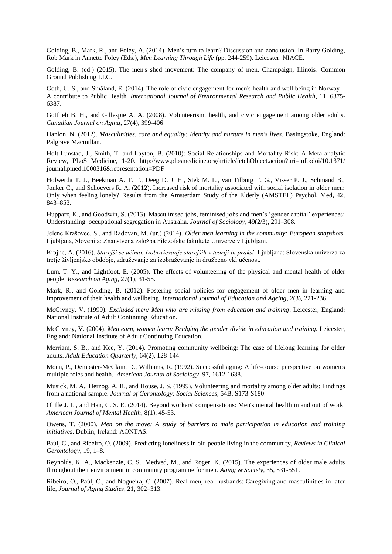Golding, B., Mark, R., and Foley, A. (2014). Men's turn to learn? Discussion and conclusion. In Barry Golding, Rob Mark in Annette Foley (Eds.), *Men Learning Through Life* (pp. 244-259). Leicester: NIACE.

Golding, B. (ed.) (2015). The men's shed movement: The company of men. Champaign, Illinois: Common Ground Publishing LLC.

Goth, U. S., and Småland, E. (2014). The role of civic engagement for men's health and well being in Norway – A contribute to Public Health. *International Journal of Environmental Research and Public Health*, 11, 6375- 6387.

Gottlieb B. H., and Gillespie A. A. (2008). Volunteerism, health, and civic engagement among older adults. *Canadian Journal on Aging*, 27(4), 399-406

Hanlon, N. (2012). *Masculinities, care and equality: Identity and nurture in men's lives*. Basingstoke, England: Palgrave Macmillan.

Holt-Lunstad, J., Smith, T. and Layton, B. (2010): Social Relationships and Mortality Risk: A Meta-analytic Review, PLoS Medicine, 1-20. http://www.plosmedicine.org/article/fetchObject.action?uri=info:doi/10.1371/ journal.pmed.1000316&representation=PDF

Holwerda T. J., Beekman A. T. F., Deeg D. J. H., Stek M. L., van Tilburg T. G., Visser P. J., Schmand B., Jonker C., and Schoevers R. A. (2012). Increased risk of mortality associated with social isolation in older men: Only when feeling lonely? Results from the Amsterdam Study of the Elderly (AMSTEL) Psychol. Med, 42, 843–853.

Huppatz, K., and Goodwin, S. (2013). Masculinised jobs, feminised jobs and men's 'gender capital' experiences: Understanding occupational segregation in Australia. *Journal of Sociology*, 49(2/3), 291–308.

Jelenc Krašovec, S., and Radovan, M. (ur.) (2014). *Older men learning in the community: European snapshots.* Ljubljana, Slovenija: Znanstvena založba Filozofske fakultete Univerze v Ljubljani.

Krajnc, A. (2016). *Starejši se učimo. Izobraževanje starejših v teoriji in praksi*. Ljubljana: Slovenska univerza za tretje življenjsko obdobje, združevanje za izobraževanje in družbeno vključenost.

Lum, T. Y., and Lightfoot, E. (2005). The effects of volunteering of the physical and mental health of older people. *Research on Aging*, 27(1), 31-55.

Mark, R., and Golding, B. (2012). Fostering social policies for engagement of older men in learning and improvement of their health and wellbeing. *International Journal of Education and Ageing*, 2(3), 221-236.

McGivney, V. (1999). *Excluded men: Men who are missing from education and training*. Leicester, England: National Institute of Adult Continuing Education.

McGivney, V. (2004). *Men earn, women learn: Bridging the gender divide in education and training.* Leicester, England: National Institute of Adult Continuing Education.

Merriam, S. B., and Kee, Y. (2014). Promoting community wellbeing: The case of lifelong learning for older adults. *Adult Education Quarterly*, 64(2), 128-144.

Moen, P., Dempster-McClain, D., Williams, R. (1992). Successful aging: A life-course perspective on women's multiple roles and health. *American Journal of Sociology*, 97, 1612-1638.

Musick, M. A., Herzog, A. R., and House, J. S. (1999). Volunteering and mortality among older adults: Findings from a national sample. *Journal of Gerontology: Social Sciences*, 54B, S173-S180.

Oliffe J. L., and Han, C. S. E. (2014). Beyond workers' compensations: Men's mental health in and out of work. *American Journal of Mental Health*, 8(1), 45-53.

Owens, T. (2000). *Men on the move: A study of barriers to male participation in education and training initiatives*. Dublin, Ireland: AONTAS.

Paúl, C., and Ribeiro, O. (2009). Predicting loneliness in old people living in the community, *Reviews in Clinical Gerontology*, 19, 1–8.

Reynolds, K. A., Mackenzie, C. S., Medved, M., and Roger, K. (2015). The experiences of older male adults throughout their environment in community programme for men. *Aging & Society*, 35, 531-551.

Ribeiro, O., Paúl, C., and Nogueira, C. (2007). Real men, real husbands: Caregiving and masculinities in later life, *Journal of Aging Studies*, 21, 302–313.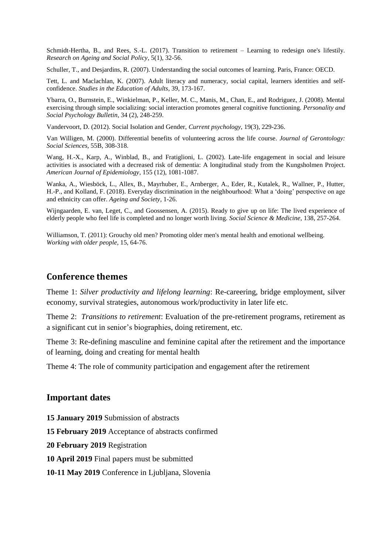Schmidt-Hertha, B., and Rees, S.-L. (2017). Transition to retirement – Learning to redesign one's lifestily. *Research on Ageing and Social Policy*, 5(1), 32-56.

Schuller, T., and Desjardins, R. (2007). Understanding the social outcomes of learning. Paris, France: OECD.

Tett, L. and Maclachlan, K. (2007). Adult literacy and numeracy, social capital, learners identities and selfconfidence. *Studies in the Education of Adults*, 39, 173-167.

Ybarra, O., Burnstein, E., Winkielman, P., Keller, M. C., Manis, M., Chan, E., and Rodriguez, J. (2008). Mental exercising through simple socializing: social interaction promotes general cognitive functioning. *Personality and Social Psychology Bulletin*, 34 (2), 248-259.

Vandervoort, D. (2012). Social Isolation and Gender, *Current psychology*, 19(3), 229-236.

Van Willigen, M. (2000). Differential benefits of volunteering across the life course. *Journal of Gerontology: Social Sciences*, 55B, 308-318.

Wang, H.-X., Karp, A., Winblad, B., and Fratiglioni, L. (2002). Late-life engagement in social and leisure activities is associated with a decreased risk of dementia: A longitudinal study from the Kungsholmen Project. *American Journal of Epidemiology*, 155 (12), 1081-1087.

Wanka, A., Wiesböck, L., Allex, B., Mayrhuber, E., Arnberger, A., Eder, R., Kutalek, R., Wallner, P., Hutter, H.-P., and Kolland, F. (2018). Everyday discrimination in the neighbourhood: What a 'doing' perspective on age and ethnicity can offer. *Ageing and Society*, 1-26.

Wijngaarden, E. van, Leget, C., and Goossensen, A. (2015). Ready to give up on life: The lived experience of elderly people who feel life is completed and no longer worth living. *Social Science & Medicine*, 138, 257-264.

Williamson, T. (2011): Grouchy old men? Promoting older men's mental health and emotional wellbeing. *Working with older people*, 15, 64-76.

#### **Conference themes**

Theme 1: *Silver productivity and lifelong learning*: Re-careering, bridge employment, silver economy, survival strategies, autonomous work/productivity in later life etc.

Theme 2: *Transitions to retirement*: Evaluation of the pre-retirement programs, retirement as a significant cut in senior's biographies, doing retirement, etc.

Theme 3: Re-defining masculine and feminine capital after the retirement and the importance of learning, doing and creating for mental health

Theme 4: The role of community participation and engagement after the retirement

#### **Important dates**

**15 January 2019** Submission of abstracts

**15 February 2019** Acceptance of abstracts confirmed

**20 February 2019** Registration

**10 April 2019** Final papers must be submitted

**10-11 May 2019** Conference in Ljubljana, Slovenia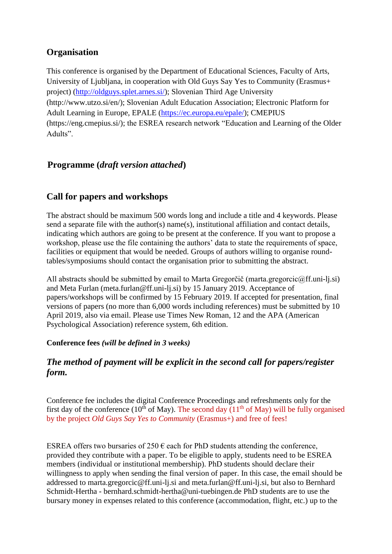## **Organisation**

This conference is organised by the Department of Educational Sciences, Faculty of Arts, University of Ljubljana, in cooperation with Old Guys Say Yes to Community (Erasmus+ project) [\(http://oldguys.splet.arnes.si/\)](http://oldguys.splet.arnes.si/); Slovenian Third Age University [\(http://www.utzo.si/en/\)](http://www.utzo.si/en/); Slovenian Adult Education Association; Electronic Platform for Adult Learning in Europe, EPALE [\(https://ec.europa.eu/epale/\)](https://ec.europa.eu/epale/); CMEPIUS [\(https://eng.cmepius.si/\)](https://eng.cmepius.si/); the ESREA research network "Education and Learning of the Older Adults".

## **Programme (***draft version attached***)**

## **Call for papers and workshops**

The abstract should be maximum 500 words long and include a title and 4 keywords. Please send a separate file with the author(s) name(s), institutional affiliation and contact details, indicating which authors are going to be present at the conference. If you want to propose a workshop, please use the file containing the authors' data to state the requirements of space, facilities or equipment that would be needed. Groups of authors willing to organise roundtables/symposiums should contact the organisation prior to submitting the abstract.

All abstracts should be submitted by email to Marta Gregorčič (marta.gregorcic@ff.uni-lj.si) and Meta Furlan (meta.furlan@ff.uni-lj.si) by 15 January 2019. Acceptance of papers/workshops will be confirmed by 15 February 2019. If accepted for presentation, final versions of papers (no more than 6,000 words including references) must be submitted by 10 April 2019, also via email. Please use Times New Roman, 12 and the APA (American Psychological Association) reference system, 6th edition.

### **Conference fees** *(will be defined in 3 weeks)*

## *The method of payment will be explicit in the second call for papers/register form.*

Conference fee includes the digital Conference Proceedings and refreshments only for the first day of the conference ( $10^{th}$  of May). The second day ( $11^{th}$  of May) will be fully organised by the project *Old Guys Say Yes to Community* (Erasmus+) and free of fees!

ESREA offers two bursaries of  $250 \text{ }\epsilon$  each for PhD students attending the conference, provided they contribute with a paper. To be eligible to apply, students need to be ESREA members (individual or institutional membership). PhD students should declare their willingness to apply when sending the final version of paper. In this case, the email should be addressed to marta.gregorcic@ff.uni-lj.si and meta.furlan@ff.uni-lj.si, but also to Bernhard Schmidt-Hertha - bernhard.schmidt-hertha@uni-tuebingen.de PhD students are to use the bursary money in expenses related to this conference (accommodation, flight, etc.) up to the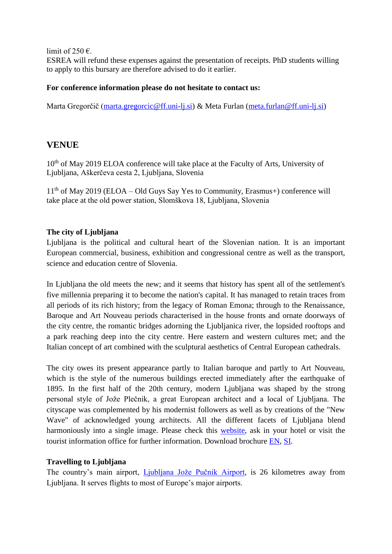limit of 250  $\epsilon$ .

ESREA will refund these expenses against the presentation of receipts. PhD students willing to apply to this bursary are therefore advised to do it earlier.

#### **For conference information please do not hesitate to contact us:**

Marta Gregorčič [\(marta.gregorcic@ff.uni-lj.si\)](mailto:marta.gregorcic@ff.uni-lj.si) & Meta Furlan [\(meta.furlan@ff.uni-lj.si\)](mailto:meta.furlan@ff.uni-lj.si)

### **VENUE**

10<sup>th</sup> of May 2019 ELOA conference will take place at the Faculty of Arts, University of Ljubljana, Aškerčeva cesta 2, Ljubljana, Slovenia

 $11<sup>th</sup>$  of May 2019 (ELOA – Old Guys Say Yes to Community, Erasmus+) conference will take place at the old power station, Slomškova 18, Ljubljana, Slovenia

#### **The city of Ljubljana**

Ljubljana is the political and cultural heart of the Slovenian nation. It is an important European commercial, business, exhibition and congressional centre as well as the transport, science and education centre of Slovenia.

In Ljubljana the old meets the new; and it seems that history has spent all of the settlement's five millennia preparing it to become the nation's capital. It has managed to retain traces from all periods of its rich history; from the legacy of Roman Emona; through to the Renaissance, Baroque and Art Nouveau periods characterised in the house fronts and ornate doorways of the city centre, the romantic bridges adorning the Ljubljanica river, the lopsided rooftops and a park reaching deep into the city centre. Here eastern and western cultures met; and the Italian concept of art combined with the sculptural aesthetics of Central European cathedrals.

The city owes its present appearance partly to Italian baroque and partly to Art Nouveau, which is the style of the numerous buildings erected immediately after the earthquake of 1895. In the first half of the 20th century, modern Ljubljana was shaped by the strong personal style of Jože Plečnik, a great European architect and a local of Ljubljana. The cityscape was complemented by his modernist followers as well as by creations of the "New Wave" of acknowledged young architects. All the different facets of Ljubljana blend harmoniously into a single image. Please check this [website,](https://www.visitljubljana.com/en/visitors/) ask in your hotel or visit the tourist information office for further information. Download brochure [EN,](https://www.visitljubljana.com/assets/Dokumenti-PDF/Tiskovine-EN/Ljubljana-Tourist-Guide.pdf) [SI.](https://www.visitljubljana.com/assets/Dokumenti-PDF/Tiskovine-SI/Turisticni-vodic.pdf)

### **Travelling to Ljubljana**

The country's main airport, *Liubliana Jože Pučnik Airport*, is 26 kilometres away from Ljubljana. It serves flights to most of Europe's major airports.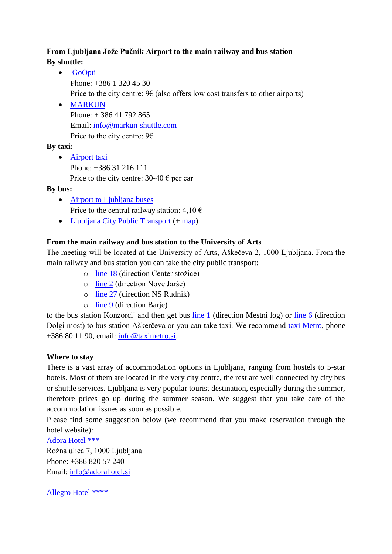## **From Ljubljana Jože Pučnik Airport to the main railway and bus station By shuttle:**

- [GoOpti](https://www.goopti.com/en/) Phone: +386 1 320 45 30 Price to the city centre:  $96$  (also offers low cost transfers to other airports)
- [MARKUN](https://www.markun-shuttle.com/en/index.html) Phone: + 386 41 792 865 Email: [info@markun-shuttle.com](mailto:info@markun-shuttle.com) Price to the city centre:  $96$

## **By taxi:**

• [Airport taxi](http://airporttaxi.si/En/) Phone: +386 31 216 111 Price to the city centre:  $30-40 \text{ }\epsilon$  per car

**By bus:** 

- [Airport to Ljubljana buses](https://www.fraport-slovenija.si/en/passengers-and-visitors/getting-here/bus/) Price to the central railway station:  $4,10 \in$
- [Ljubljana City Public Transport](https://www.visitljubljana.com/en/visitors/explore-the-region/traffic-and-transport/city-buses/) (+ [map\)](http://www.lpp.si/sites/www.jhl.si/files/dokumenti/shema_dnevnih_linij_lpp_september_2018_0.pdf)

## **From the main railway and bus station to the University of Arts**

The meeting will be located at the University of Arts, Aškečeva 2, 1000 Ljubljana. From the main railway and bus station you can take the city public transport:

- o [line 18](http://www.lpp.si/sites/default/files/lpp_vozniredi/iskalnik/tmp/files/908/18_C_300015.pdf) (direction Center stožice)
- o [line 2](http://www.lpp.si/sites/default/files/lpp_vozniredi/iskalnik/tmp/files/363/02_N_300011.pdf) (direction Nove Jarše)
- o [line 27](http://www.lpp.si/sites/default/files/lpp_vozniredi/iskalnik/tmp/files/721/27_N_300011.pdf) (direction NS Rudnik)
- o [line 9](http://www.lpp.si/sites/default/files/lpp_vozniredi/iskalnik/tmp/files/582/09_B_300011.pdf) (direction Barje)

to the bus station Konzorcij and then get bus [line 1](http://www.lpp.si/sites/default/files/lpp_vozniredi/iskalnik/tmp/files/822/01_M_601012.pdf) (direction Mestni log) or [line 6](http://www.lpp.si/sites/default/files/lpp_vozniredi/iskalnik/index.php?stop=601012-1&ref=790) (direction Dolgi most) to bus station Aškerčeva or you can take taxi. We recommend [taxi Metro,](https://www.taximetro.si/?page_id=335) phone +386 80 11 90, email: [info@taximetro.si.](mailto:info@taximetro.si)

### **Where to stay**

There is a vast array of accommodation options in Ljubljana, ranging from hostels to 5-star hotels. Most of them are located in the very city centre, the rest are well connected by city bus or shuttle services. Ljubljana is very popular tourist destination, especially during the summer, therefore prices go up during the summer season. We suggest that you take care of the accommodation issues as soon as possible.

Please find some suggestion below (we recommend that you make reservation through the hotel website):

[Adora Hotel \\*\\*\\*](https://www.adorahotel.si/)

Rožna ulica 7, 1000 Ljubljana Phone: +386 820 57 240 Email: [info@adorahotel.si](mailto:info@adorahotel.si)

[Allegro Hotel \\*\\*\\*\\*](http://www.allegrohotel.si/?lang=en)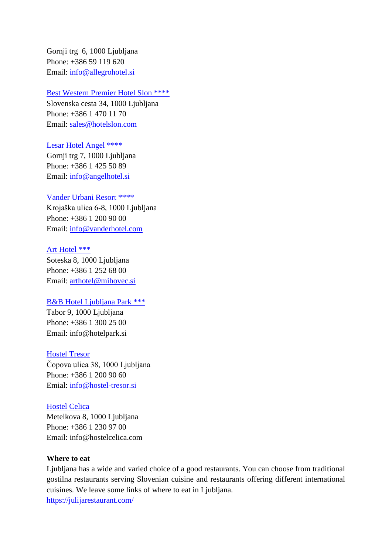Gornji trg 6, 1000 Ljubljana Phone: +386 59 119 620 Email: [info@allegrohotel.si](mailto:info@allegrohotel.si)

#### [Best Western Premier Hotel Slon \\*\\*\\*\\*](https://www.hotelslon.com/en-gb)

Slovenska cesta 34, 1000 Ljubljana Phone: +386 1 470 11 70 Email: [sales@hotelslon.com](mailto:sales@hotelslon.com)

#### [Lesar Hotel Angel \\*\\*\\*\\*](http://angelhotel.si/)

Gornji trg 7, 1000 Ljubljana Phone: +386 1 425 50 89 Email: [info@angelhotel.si](mailto:info@angelhotel.si)

#### [Vander Urbani Resort \\*\\*\\*\\*](http://vanderhotel.com/)

Krojaška ulica 6-8, 1000 Ljubljana Phone: +386 1 200 90 00 Email: [info@vanderhotel.com](mailto:info@vanderhotel.com)

#### [Art Hotel \\*\\*\\*](https://www.arthotel.si/en-gb)

Soteska 8, 1000 Ljubljana Phone: +386 1 252 68 00 Email: [arthotel@mihovec.si](mailto:arthotel@mihovec.si)

#### [B&B Hotel Ljubljana Park \\*\\*\\*](https://www.hotelpark.si/en/)

Tabor 9, 1000 Ljubljana Phone: +386 1 300 25 00 Email: info@hotelpark.si

#### [Hostel Tresor](http://www.hostel-tresor.si/en/)

Čopova ulica 38, 1000 Ljubljana Phone: +386 1 200 90 60 Emial: [info@hostel-tresor.si](mailto:info@hostel-tresor.si)

#### [Hostel Celica](http://www.hostelcelica.com/en)

Metelkova 8, 1000 Ljubljana Phone: +386 1 230 97 00 Email: info@hostelcelica.com

#### **Where to eat**

Ljubljana has a wide and varied choice of a good restaurants. You can choose from traditional gostilna restaurants serving Slovenian cuisine and restaurants offering different international cuisines. We leave some links of where to eat in Ljubljana. <https://julijarestaurant.com/>